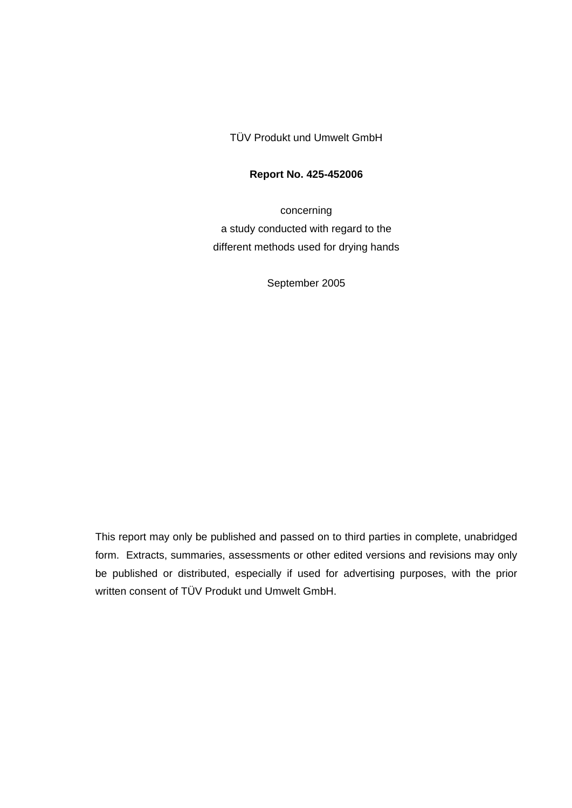TÜV Produkt und Umwelt GmbH

#### **Report No. 425-452006**

concerning a study conducted with regard to the different methods used for drying hands

September 2005

This report may only be published and passed on to third parties in complete, unabridged form. Extracts, summaries, assessments or other edited versions and revisions may only be published or distributed, especially if used for advertising purposes, with the prior written consent of TÜV Produkt und Umwelt GmbH.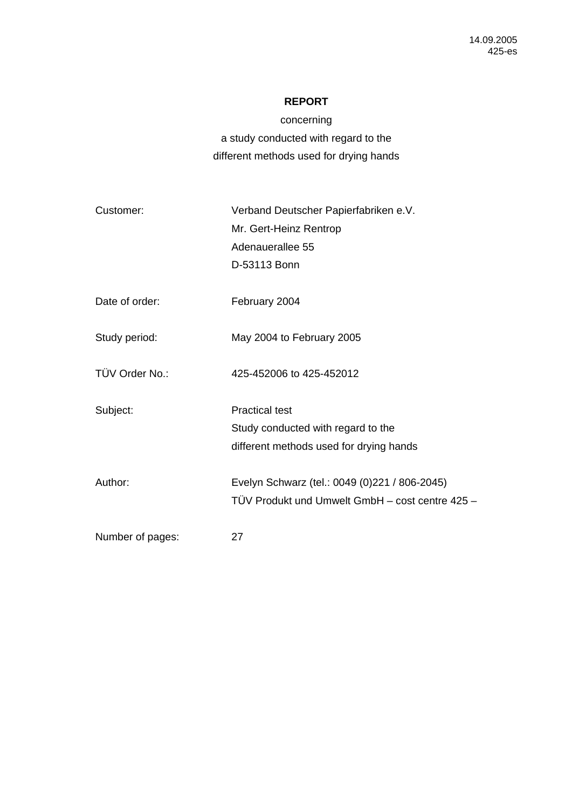# **REPORT**

concerning a study conducted with regard to the different methods used for drying hands

| Customer:        | Verband Deutscher Papierfabriken e.V.<br>Mr. Gert-Heinz Rentrop<br>Adenauerallee 55<br>D-53113 Bonn    |
|------------------|--------------------------------------------------------------------------------------------------------|
| Date of order:   | February 2004                                                                                          |
| Study period:    | May 2004 to February 2005                                                                              |
| TÜV Order No.:   | 425-452006 to 425-452012                                                                               |
| Subject:         | <b>Practical test</b><br>Study conducted with regard to the<br>different methods used for drying hands |
| Author:          | Evelyn Schwarz (tel.: 0049 (0)221 / 806-2045)<br>TÜV Produkt und Umwelt GmbH - cost centre 425 -       |
| Number of pages: | 27                                                                                                     |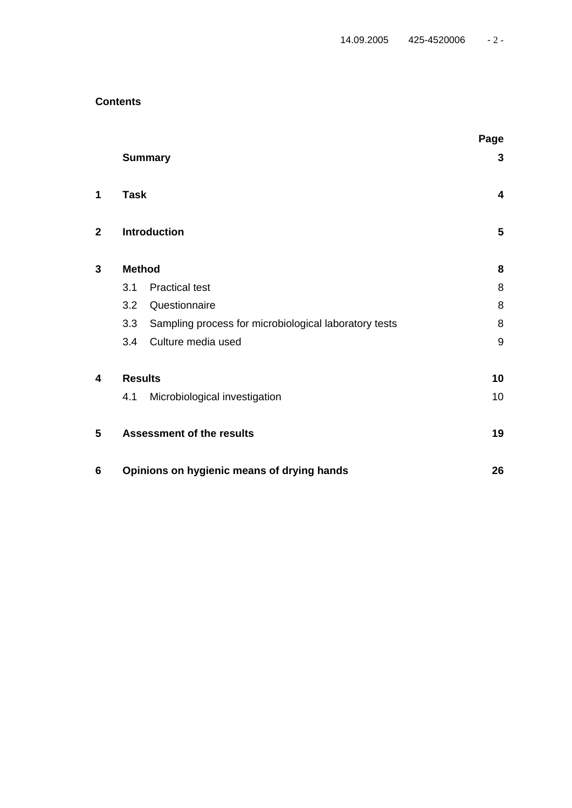# **Contents**

|                |                |                                                       | Page                    |
|----------------|----------------|-------------------------------------------------------|-------------------------|
|                |                | <b>Summary</b>                                        | 3                       |
| 1              | <b>Task</b>    |                                                       | $\overline{\mathbf{4}}$ |
| $\overline{2}$ |                | <b>Introduction</b>                                   | 5                       |
| 3              | <b>Method</b>  |                                                       | 8                       |
|                | 3.1            | <b>Practical test</b>                                 | 8                       |
|                | 3.2            | Questionnaire                                         | 8                       |
|                | 3.3            | Sampling process for microbiological laboratory tests | 8                       |
|                | 3.4            | Culture media used                                    | 9                       |
| 4              | <b>Results</b> |                                                       | 10                      |
|                | 4.1            | Microbiological investigation                         | 10                      |
| 5              |                | <b>Assessment of the results</b>                      | 19                      |
| 6              |                | Opinions on hygienic means of drying hands            | 26                      |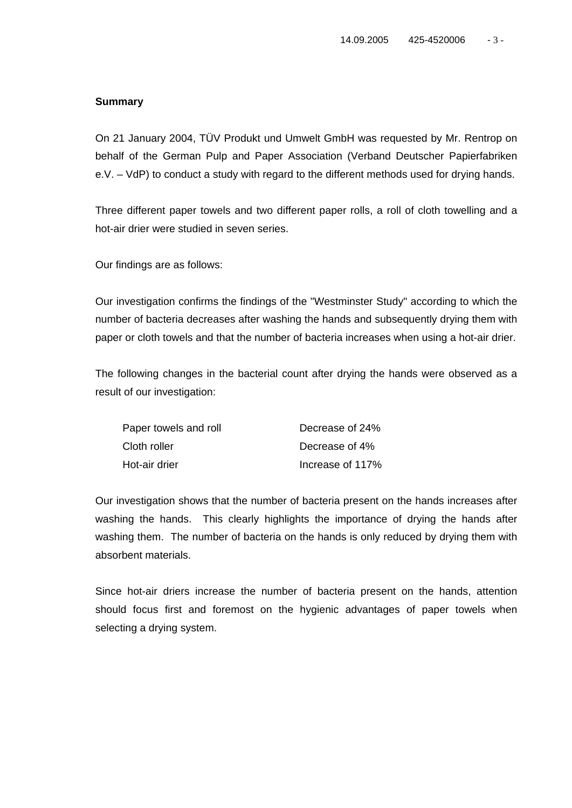#### **Summary**

On 21 January 2004, TÜV Produkt und Umwelt GmbH was requested by Mr. Rentrop on behalf of the German Pulp and Paper Association (Verband Deutscher Papierfabriken e.V. – VdP) to conduct a study with regard to the different methods used for drying hands.

Three different paper towels and two different paper rolls, a roll of cloth towelling and a hot-air drier were studied in seven series.

Our findings are as follows:

Our investigation confirms the findings of the "Westminster Study" according to which the number of bacteria decreases after washing the hands and subsequently drying them with paper or cloth towels and that the number of bacteria increases when using a hot-air drier.

The following changes in the bacterial count after drying the hands were observed as a result of our investigation:

| Paper towels and roll | Decrease of 24%  |
|-----------------------|------------------|
| Cloth roller          | Decrease of 4%   |
| Hot-air drier         | Increase of 117% |

Our investigation shows that the number of bacteria present on the hands increases after washing the hands. This clearly highlights the importance of drying the hands after washing them. The number of bacteria on the hands is only reduced by drying them with absorbent materials.

Since hot-air driers increase the number of bacteria present on the hands, attention should focus first and foremost on the hygienic advantages of paper towels when selecting a drying system.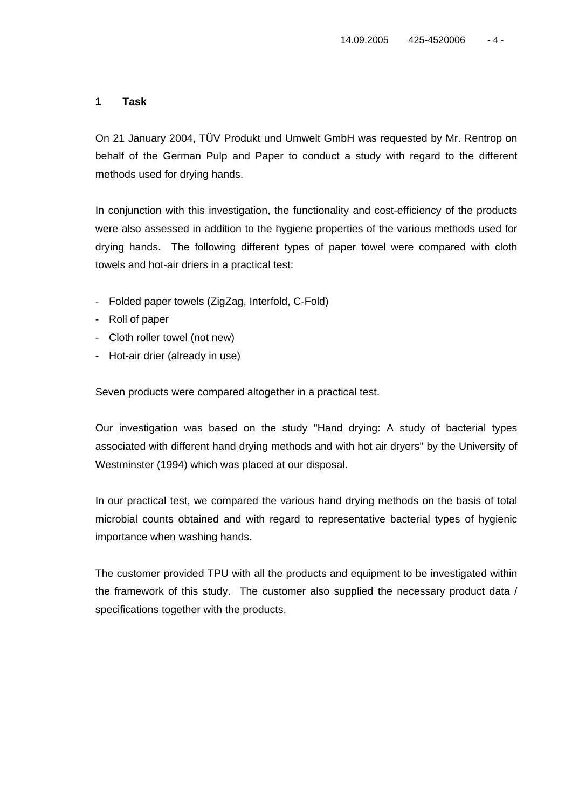## **1 Task**

On 21 January 2004, TÜV Produkt und Umwelt GmbH was requested by Mr. Rentrop on behalf of the German Pulp and Paper to conduct a study with regard to the different methods used for drying hands.

In conjunction with this investigation, the functionality and cost-efficiency of the products were also assessed in addition to the hygiene properties of the various methods used for drying hands. The following different types of paper towel were compared with cloth towels and hot-air driers in a practical test:

- Folded paper towels (ZigZag, Interfold, C-Fold)
- Roll of paper
- Cloth roller towel (not new)
- Hot-air drier (already in use)

Seven products were compared altogether in a practical test.

Our investigation was based on the study "Hand drying: A study of bacterial types associated with different hand drying methods and with hot air dryers" by the University of Westminster (1994) which was placed at our disposal.

In our practical test, we compared the various hand drying methods on the basis of total microbial counts obtained and with regard to representative bacterial types of hygienic importance when washing hands.

The customer provided TPU with all the products and equipment to be investigated within the framework of this study. The customer also supplied the necessary product data / specifications together with the products.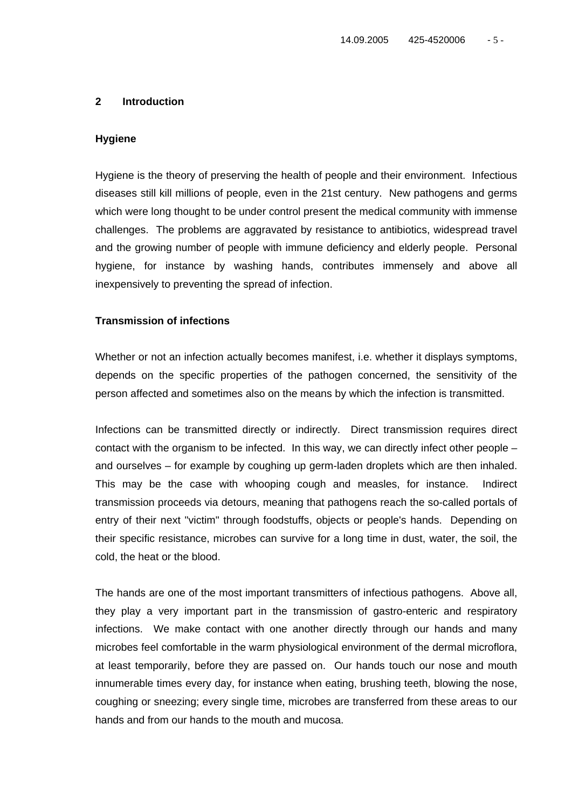#### **2 Introduction**

#### **Hygiene**

Hygiene is the theory of preserving the health of people and their environment. Infectious diseases still kill millions of people, even in the 21st century. New pathogens and germs which were long thought to be under control present the medical community with immense challenges. The problems are aggravated by resistance to antibiotics, widespread travel and the growing number of people with immune deficiency and elderly people. Personal hygiene, for instance by washing hands, contributes immensely and above all inexpensively to preventing the spread of infection.

#### **Transmission of infections**

Whether or not an infection actually becomes manifest, i.e. whether it displays symptoms, depends on the specific properties of the pathogen concerned, the sensitivity of the person affected and sometimes also on the means by which the infection is transmitted.

Infections can be transmitted directly or indirectly. Direct transmission requires direct contact with the organism to be infected. In this way, we can directly infect other people – and ourselves – for example by coughing up germ-laden droplets which are then inhaled. This may be the case with whooping cough and measles, for instance. Indirect transmission proceeds via detours, meaning that pathogens reach the so-called portals of entry of their next "victim" through foodstuffs, objects or people's hands. Depending on their specific resistance, microbes can survive for a long time in dust, water, the soil, the cold, the heat or the blood.

The hands are one of the most important transmitters of infectious pathogens. Above all, they play a very important part in the transmission of gastro-enteric and respiratory infections. We make contact with one another directly through our hands and many microbes feel comfortable in the warm physiological environment of the dermal microflora, at least temporarily, before they are passed on. Our hands touch our nose and mouth innumerable times every day, for instance when eating, brushing teeth, blowing the nose, coughing or sneezing; every single time, microbes are transferred from these areas to our hands and from our hands to the mouth and mucosa.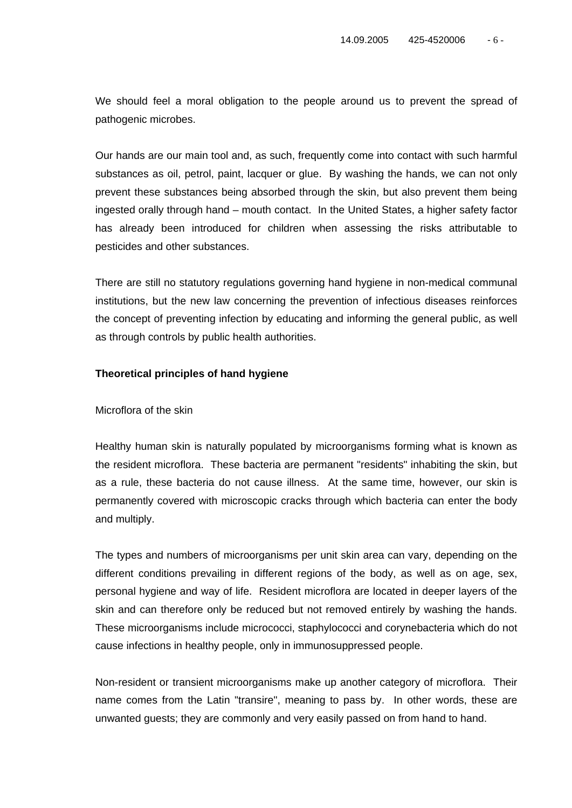We should feel a moral obligation to the people around us to prevent the spread of pathogenic microbes.

Our hands are our main tool and, as such, frequently come into contact with such harmful substances as oil, petrol, paint, lacquer or glue. By washing the hands, we can not only prevent these substances being absorbed through the skin, but also prevent them being ingested orally through hand – mouth contact. In the United States, a higher safety factor has already been introduced for children when assessing the risks attributable to pesticides and other substances.

There are still no statutory regulations governing hand hygiene in non-medical communal institutions, but the new law concerning the prevention of infectious diseases reinforces the concept of preventing infection by educating and informing the general public, as well as through controls by public health authorities.

#### **Theoretical principles of hand hygiene**

Microflora of the skin

Healthy human skin is naturally populated by microorganisms forming what is known as the resident microflora. These bacteria are permanent "residents" inhabiting the skin, but as a rule, these bacteria do not cause illness. At the same time, however, our skin is permanently covered with microscopic cracks through which bacteria can enter the body and multiply.

The types and numbers of microorganisms per unit skin area can vary, depending on the different conditions prevailing in different regions of the body, as well as on age, sex, personal hygiene and way of life. Resident microflora are located in deeper layers of the skin and can therefore only be reduced but not removed entirely by washing the hands. These microorganisms include micrococci, staphylococci and corynebacteria which do not cause infections in healthy people, only in immunosuppressed people.

Non-resident or transient microorganisms make up another category of microflora. Their name comes from the Latin "transire", meaning to pass by. In other words, these are unwanted guests; they are commonly and very easily passed on from hand to hand.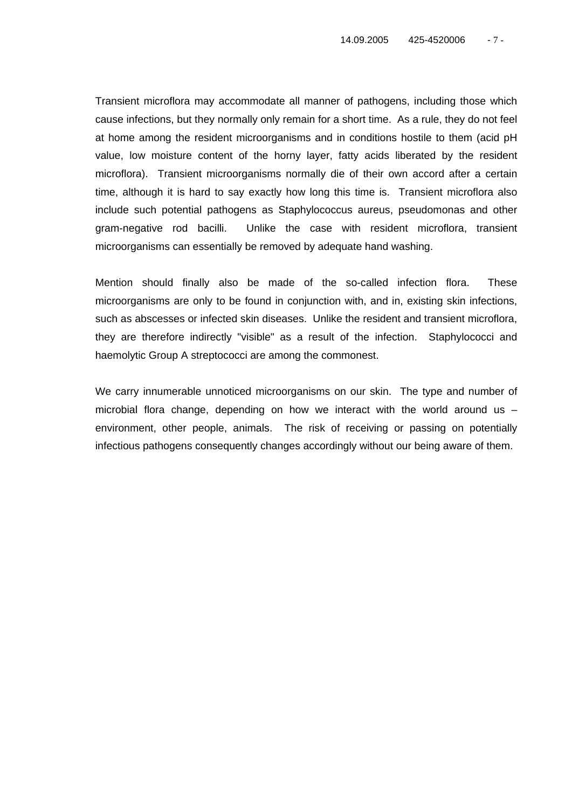Transient microflora may accommodate all manner of pathogens, including those which cause infections, but they normally only remain for a short time. As a rule, they do not feel at home among the resident microorganisms and in conditions hostile to them (acid pH value, low moisture content of the horny layer, fatty acids liberated by the resident microflora). Transient microorganisms normally die of their own accord after a certain time, although it is hard to say exactly how long this time is. Transient microflora also include such potential pathogens as Staphylococcus aureus, pseudomonas and other gram-negative rod bacilli. Unlike the case with resident microflora, transient microorganisms can essentially be removed by adequate hand washing.

Mention should finally also be made of the so-called infection flora. These microorganisms are only to be found in conjunction with, and in, existing skin infections, such as abscesses or infected skin diseases. Unlike the resident and transient microflora, they are therefore indirectly "visible" as a result of the infection. Staphylococci and haemolytic Group A streptococci are among the commonest.

We carry innumerable unnoticed microorganisms on our skin. The type and number of microbial flora change, depending on how we interact with the world around us – environment, other people, animals. The risk of receiving or passing on potentially infectious pathogens consequently changes accordingly without our being aware of them.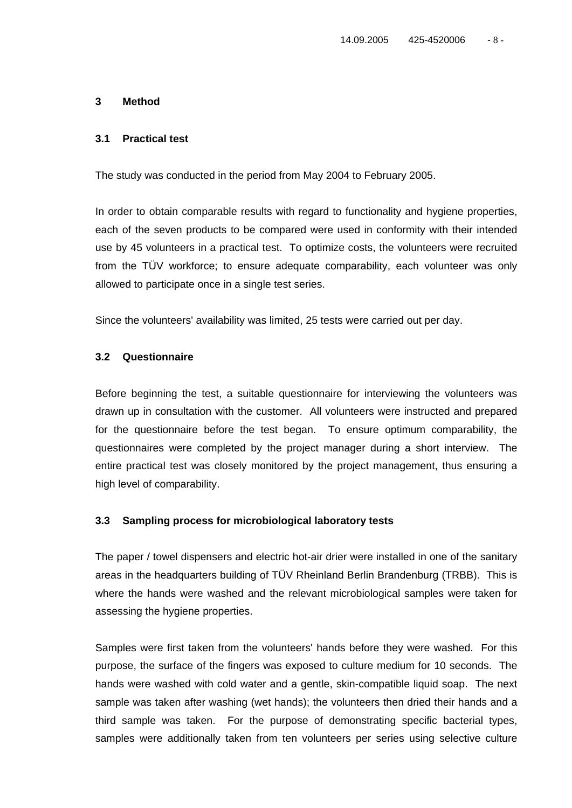## **3 Method**

#### **3.1 Practical test**

The study was conducted in the period from May 2004 to February 2005.

In order to obtain comparable results with regard to functionality and hygiene properties, each of the seven products to be compared were used in conformity with their intended use by 45 volunteers in a practical test. To optimize costs, the volunteers were recruited from the TÜV workforce; to ensure adequate comparability, each volunteer was only allowed to participate once in a single test series.

Since the volunteers' availability was limited, 25 tests were carried out per day.

## **3.2 Questionnaire**

Before beginning the test, a suitable questionnaire for interviewing the volunteers was drawn up in consultation with the customer. All volunteers were instructed and prepared for the questionnaire before the test began. To ensure optimum comparability, the questionnaires were completed by the project manager during a short interview. The entire practical test was closely monitored by the project management, thus ensuring a high level of comparability.

#### **3.3 Sampling process for microbiological laboratory tests**

The paper / towel dispensers and electric hot-air drier were installed in one of the sanitary areas in the headquarters building of TÜV Rheinland Berlin Brandenburg (TRBB). This is where the hands were washed and the relevant microbiological samples were taken for assessing the hygiene properties.

Samples were first taken from the volunteers' hands before they were washed. For this purpose, the surface of the fingers was exposed to culture medium for 10 seconds. The hands were washed with cold water and a gentle, skin-compatible liquid soap. The next sample was taken after washing (wet hands); the volunteers then dried their hands and a third sample was taken. For the purpose of demonstrating specific bacterial types, samples were additionally taken from ten volunteers per series using selective culture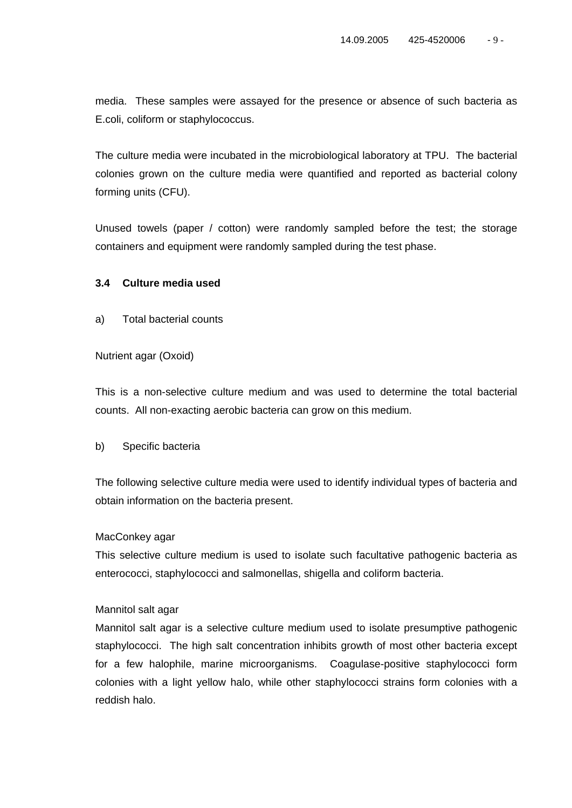media. These samples were assayed for the presence or absence of such bacteria as E.coli, coliform or staphylococcus.

The culture media were incubated in the microbiological laboratory at TPU. The bacterial colonies grown on the culture media were quantified and reported as bacterial colony forming units (CFU).

Unused towels (paper / cotton) were randomly sampled before the test; the storage containers and equipment were randomly sampled during the test phase.

## **3.4 Culture media used**

a) Total bacterial counts

#### Nutrient agar (Oxoid)

This is a non-selective culture medium and was used to determine the total bacterial counts. All non-exacting aerobic bacteria can grow on this medium.

## b) Specific bacteria

The following selective culture media were used to identify individual types of bacteria and obtain information on the bacteria present.

## MacConkey agar

This selective culture medium is used to isolate such facultative pathogenic bacteria as enterococci, staphylococci and salmonellas, shigella and coliform bacteria.

## Mannitol salt agar

Mannitol salt agar is a selective culture medium used to isolate presumptive pathogenic staphylococci. The high salt concentration inhibits growth of most other bacteria except for a few halophile, marine microorganisms. Coagulase-positive staphylococci form colonies with a light yellow halo, while other staphylococci strains form colonies with a reddish halo.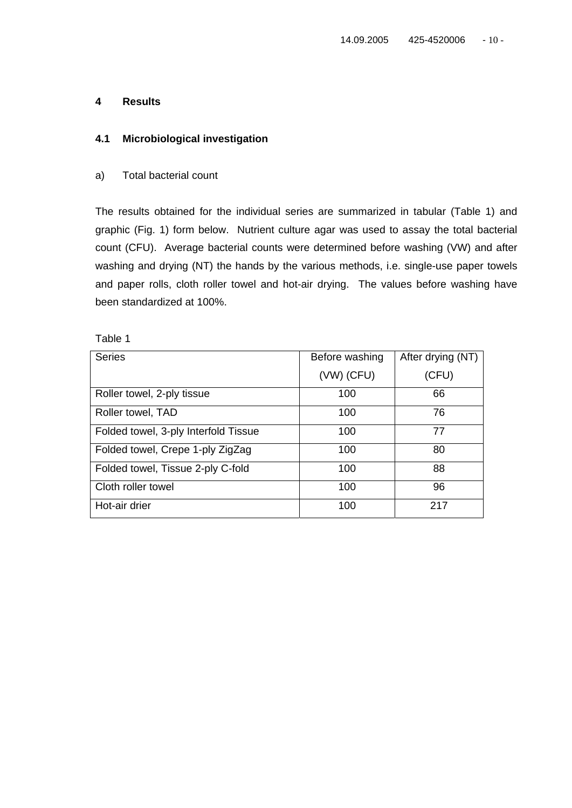## **4 Results**

## **4.1 Microbiological investigation**

#### a) Total bacterial count

The results obtained for the individual series are summarized in tabular (Table 1) and graphic (Fig. 1) form below. Nutrient culture agar was used to assay the total bacterial count (CFU). Average bacterial counts were determined before washing (VW) and after washing and drying (NT) the hands by the various methods, i.e. single-use paper towels and paper rolls, cloth roller towel and hot-air drying. The values before washing have been standardized at 100%.

| <b>Series</b>                        | Before washing | After drying (NT) |
|--------------------------------------|----------------|-------------------|
|                                      | $(VW)$ (CFU)   | (CFU)             |
| Roller towel, 2-ply tissue           | 100            | 66                |
| Roller towel, TAD                    | 100            | 76                |
| Folded towel, 3-ply Interfold Tissue | 100            | 77                |
| Folded towel, Crepe 1-ply ZigZag     | 100            | 80                |
| Folded towel, Tissue 2-ply C-fold    | 100            | 88                |
| Cloth roller towel                   | 100            | 96                |
| Hot-air drier                        | 100            | 217               |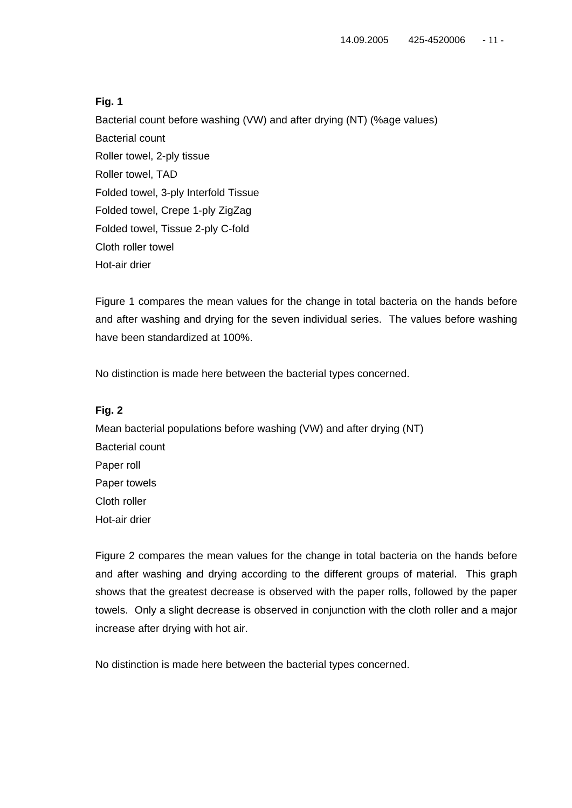Bacterial count before washing (VW) and after drying (NT) (%age values) Bacterial count Roller towel, 2-ply tissue Roller towel, TAD Folded towel, 3-ply Interfold Tissue Folded towel, Crepe 1-ply ZigZag Folded towel, Tissue 2-ply C-fold Cloth roller towel Hot-air drier

Figure 1 compares the mean values for the change in total bacteria on the hands before and after washing and drying for the seven individual series. The values before washing have been standardized at 100%.

No distinction is made here between the bacterial types concerned.

## **Fig. 2**

Mean bacterial populations before washing (VW) and after drying (NT) Bacterial count Paper roll Paper towels Cloth roller Hot-air drier

Figure 2 compares the mean values for the change in total bacteria on the hands before and after washing and drying according to the different groups of material. This graph shows that the greatest decrease is observed with the paper rolls, followed by the paper towels. Only a slight decrease is observed in conjunction with the cloth roller and a major increase after drying with hot air.

No distinction is made here between the bacterial types concerned.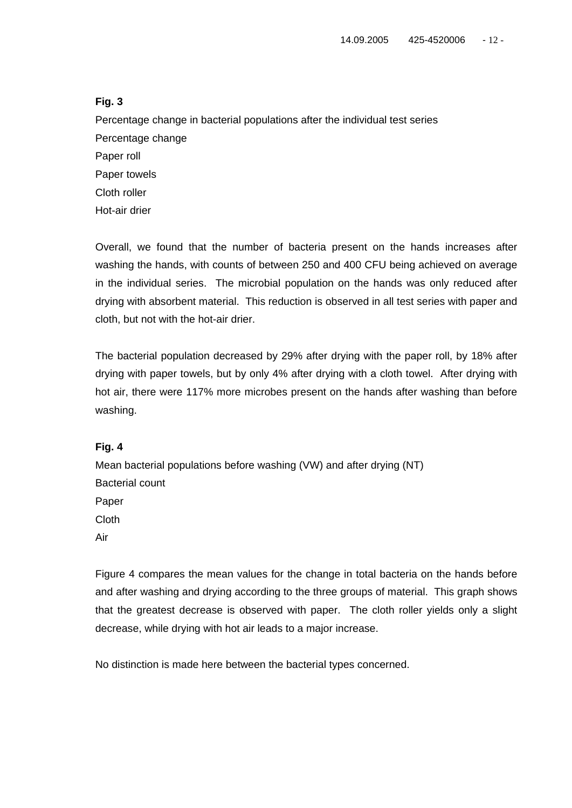Percentage change in bacterial populations after the individual test series Percentage change Paper roll Paper towels Cloth roller Hot-air drier

Overall, we found that the number of bacteria present on the hands increases after washing the hands, with counts of between 250 and 400 CFU being achieved on average in the individual series. The microbial population on the hands was only reduced after drying with absorbent material. This reduction is observed in all test series with paper and cloth, but not with the hot-air drier.

The bacterial population decreased by 29% after drying with the paper roll, by 18% after drying with paper towels, but by only 4% after drying with a cloth towel. After drying with hot air, there were 117% more microbes present on the hands after washing than before washing.

## **Fig. 4**

Mean bacterial populations before washing (VW) and after drying (NT) Bacterial count Paper Cloth Air

Figure 4 compares the mean values for the change in total bacteria on the hands before and after washing and drying according to the three groups of material. This graph shows that the greatest decrease is observed with paper. The cloth roller yields only a slight decrease, while drying with hot air leads to a major increase.

No distinction is made here between the bacterial types concerned.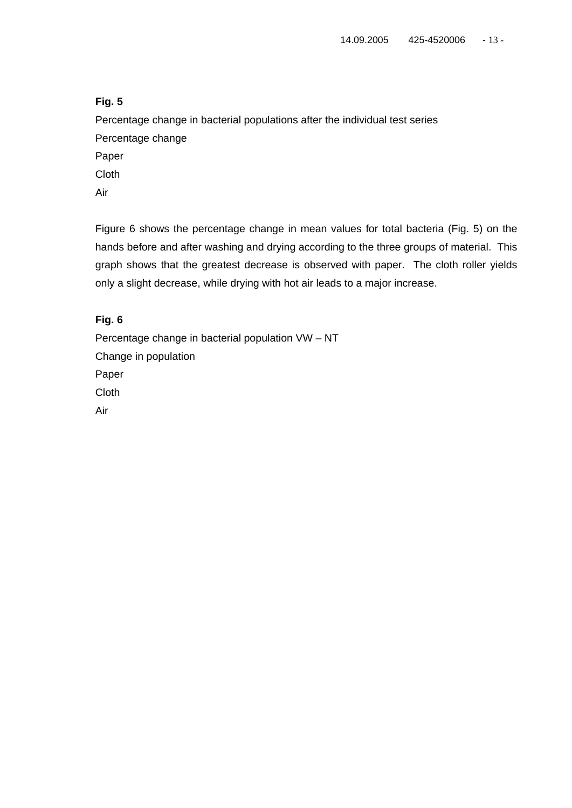Percentage change in bacterial populations after the individual test series Percentage change

Paper

Cloth

Air

Figure 6 shows the percentage change in mean values for total bacteria (Fig. 5) on the hands before and after washing and drying according to the three groups of material. This graph shows that the greatest decrease is observed with paper. The cloth roller yields only a slight decrease, while drying with hot air leads to a major increase.

# **Fig. 6**

Percentage change in bacterial population VW – NT Change in population Paper Cloth Air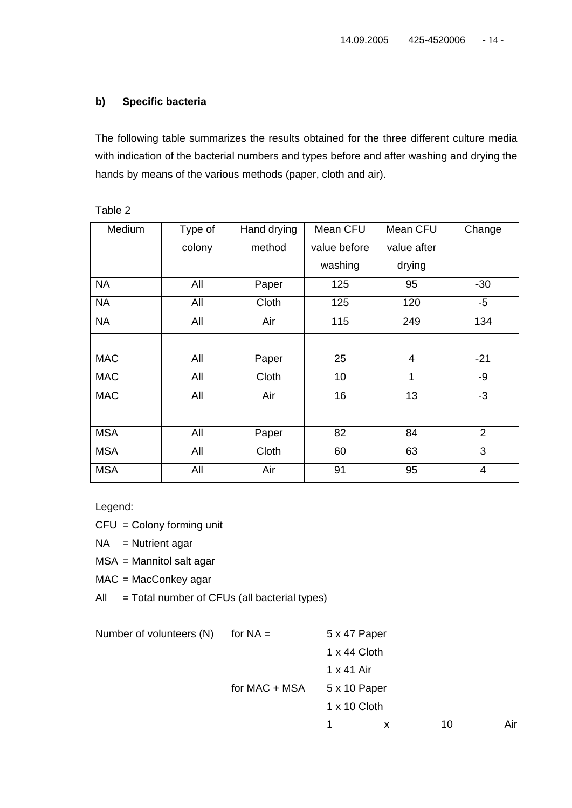# **b) Specific bacteria**

The following table summarizes the results obtained for the three different culture media with indication of the bacterial numbers and types before and after washing and drying the hands by means of the various methods (paper, cloth and air).

| Medium     | Type of | Hand drying | Mean CFU     | Mean CFU       | Change         |
|------------|---------|-------------|--------------|----------------|----------------|
|            | colony  | method      | value before | value after    |                |
|            |         |             | washing      | drying         |                |
| <b>NA</b>  | All     | Paper       | 125          | 95             | $-30$          |
| <b>NA</b>  | All     | Cloth       | 125          | 120            | $-5$           |
| <b>NA</b>  | All     | Air         | 115          | 249            | 134            |
|            |         |             |              |                |                |
| <b>MAC</b> | All     | Paper       | 25           | $\overline{4}$ | $-21$          |
| <b>MAC</b> | All     | Cloth       | 10           | 1              | $-9$           |
| <b>MAC</b> | All     | Air         | 16           | 13             | $-3$           |
|            |         |             |              |                |                |
| <b>MSA</b> | All     | Paper       | 82           | 84             | 2              |
| <b>MSA</b> | All     | Cloth       | 60           | 63             | 3              |
| <b>MSA</b> | All     | Air         | 91           | 95             | $\overline{4}$ |

Table 2

Legend:

 $CFU =$  Colony forming unit

 $NA =$  Nutrient agar

MSA = Mannitol salt agar

MAC = MacConkey agar

 $All = Total number of CFUs (all bacterial types)$ 

| Number of volunteers (N) | for $NA =$    | 5 x 47 Paper      |   |    |     |
|--------------------------|---------------|-------------------|---|----|-----|
|                          |               | 1 x 44 Cloth      |   |    |     |
|                          |               | $1 \times 41$ Air |   |    |     |
|                          | for MAC + MSA | 5 x 10 Paper      |   |    |     |
|                          |               | 1 x 10 Cloth      |   |    |     |
|                          |               |                   | X | 10 | Air |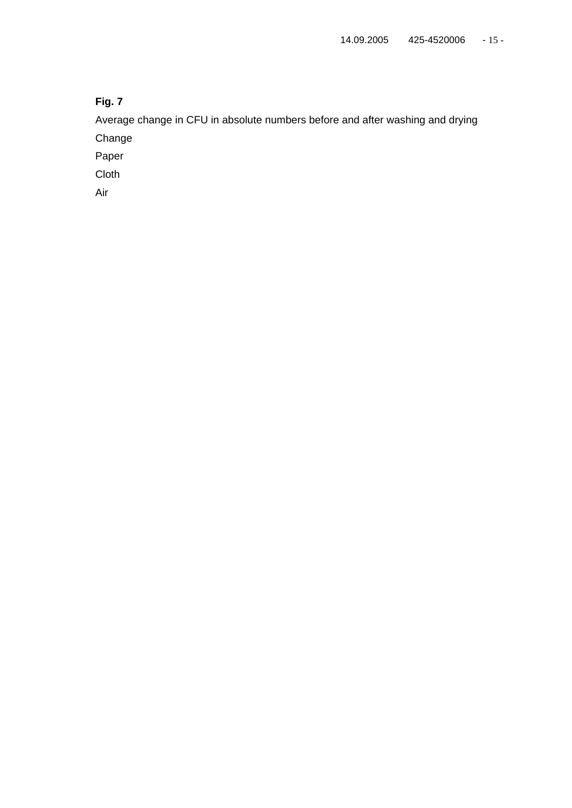Average change in CFU in absolute numbers before and after washing and drying Change

Paper

Cloth

Air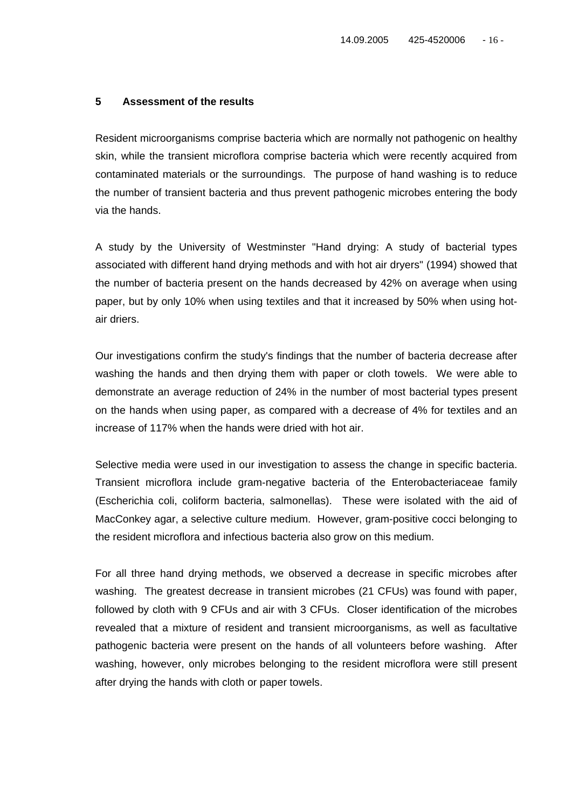#### **5 Assessment of the results**

Resident microorganisms comprise bacteria which are normally not pathogenic on healthy skin, while the transient microflora comprise bacteria which were recently acquired from contaminated materials or the surroundings. The purpose of hand washing is to reduce the number of transient bacteria and thus prevent pathogenic microbes entering the body via the hands.

A study by the University of Westminster "Hand drying: A study of bacterial types associated with different hand drying methods and with hot air dryers" (1994) showed that the number of bacteria present on the hands decreased by 42% on average when using paper, but by only 10% when using textiles and that it increased by 50% when using hotair driers.

Our investigations confirm the study's findings that the number of bacteria decrease after washing the hands and then drying them with paper or cloth towels. We were able to demonstrate an average reduction of 24% in the number of most bacterial types present on the hands when using paper, as compared with a decrease of 4% for textiles and an increase of 117% when the hands were dried with hot air.

Selective media were used in our investigation to assess the change in specific bacteria. Transient microflora include gram-negative bacteria of the Enterobacteriaceae family (Escherichia coli, coliform bacteria, salmonellas). These were isolated with the aid of MacConkey agar, a selective culture medium. However, gram-positive cocci belonging to the resident microflora and infectious bacteria also grow on this medium.

For all three hand drying methods, we observed a decrease in specific microbes after washing. The greatest decrease in transient microbes (21 CFUs) was found with paper, followed by cloth with 9 CFUs and air with 3 CFUs. Closer identification of the microbes revealed that a mixture of resident and transient microorganisms, as well as facultative pathogenic bacteria were present on the hands of all volunteers before washing. After washing, however, only microbes belonging to the resident microflora were still present after drying the hands with cloth or paper towels.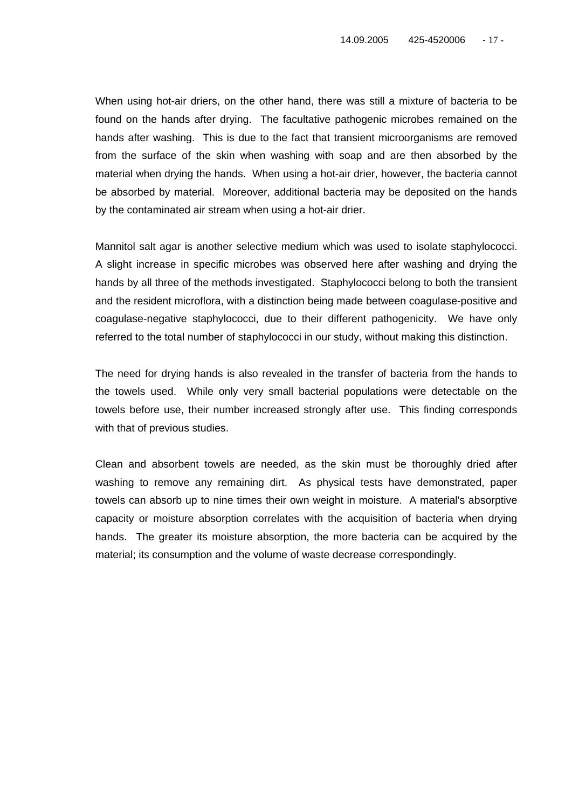When using hot-air driers, on the other hand, there was still a mixture of bacteria to be found on the hands after drying. The facultative pathogenic microbes remained on the hands after washing. This is due to the fact that transient microorganisms are removed from the surface of the skin when washing with soap and are then absorbed by the material when drying the hands. When using a hot-air drier, however, the bacteria cannot be absorbed by material. Moreover, additional bacteria may be deposited on the hands by the contaminated air stream when using a hot-air drier.

Mannitol salt agar is another selective medium which was used to isolate staphylococci. A slight increase in specific microbes was observed here after washing and drying the hands by all three of the methods investigated. Staphylococci belong to both the transient and the resident microflora, with a distinction being made between coagulase-positive and coagulase-negative staphylococci, due to their different pathogenicity. We have only referred to the total number of staphylococci in our study, without making this distinction.

The need for drying hands is also revealed in the transfer of bacteria from the hands to the towels used. While only very small bacterial populations were detectable on the towels before use, their number increased strongly after use. This finding corresponds with that of previous studies.

Clean and absorbent towels are needed, as the skin must be thoroughly dried after washing to remove any remaining dirt. As physical tests have demonstrated, paper towels can absorb up to nine times their own weight in moisture. A material's absorptive capacity or moisture absorption correlates with the acquisition of bacteria when drying hands. The greater its moisture absorption, the more bacteria can be acquired by the material; its consumption and the volume of waste decrease correspondingly.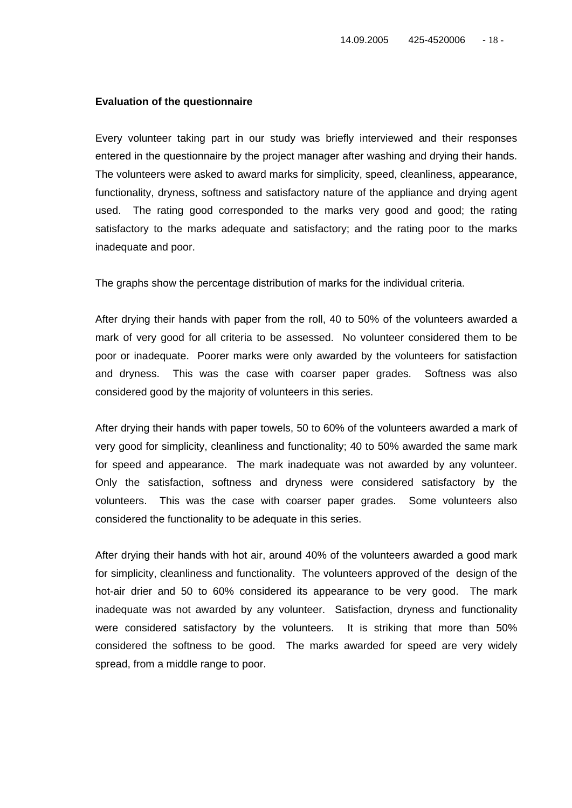#### **Evaluation of the questionnaire**

Every volunteer taking part in our study was briefly interviewed and their responses entered in the questionnaire by the project manager after washing and drying their hands. The volunteers were asked to award marks for simplicity, speed, cleanliness, appearance, functionality, dryness, softness and satisfactory nature of the appliance and drying agent used. The rating good corresponded to the marks very good and good; the rating satisfactory to the marks adequate and satisfactory; and the rating poor to the marks inadequate and poor.

The graphs show the percentage distribution of marks for the individual criteria.

After drying their hands with paper from the roll, 40 to 50% of the volunteers awarded a mark of very good for all criteria to be assessed. No volunteer considered them to be poor or inadequate. Poorer marks were only awarded by the volunteers for satisfaction and dryness. This was the case with coarser paper grades. Softness was also considered good by the majority of volunteers in this series.

After drying their hands with paper towels, 50 to 60% of the volunteers awarded a mark of very good for simplicity, cleanliness and functionality; 40 to 50% awarded the same mark for speed and appearance. The mark inadequate was not awarded by any volunteer. Only the satisfaction, softness and dryness were considered satisfactory by the volunteers. This was the case with coarser paper grades. Some volunteers also considered the functionality to be adequate in this series.

After drying their hands with hot air, around 40% of the volunteers awarded a good mark for simplicity, cleanliness and functionality. The volunteers approved of the design of the hot-air drier and 50 to 60% considered its appearance to be very good. The mark inadequate was not awarded by any volunteer. Satisfaction, dryness and functionality were considered satisfactory by the volunteers. It is striking that more than 50% considered the softness to be good. The marks awarded for speed are very widely spread, from a middle range to poor.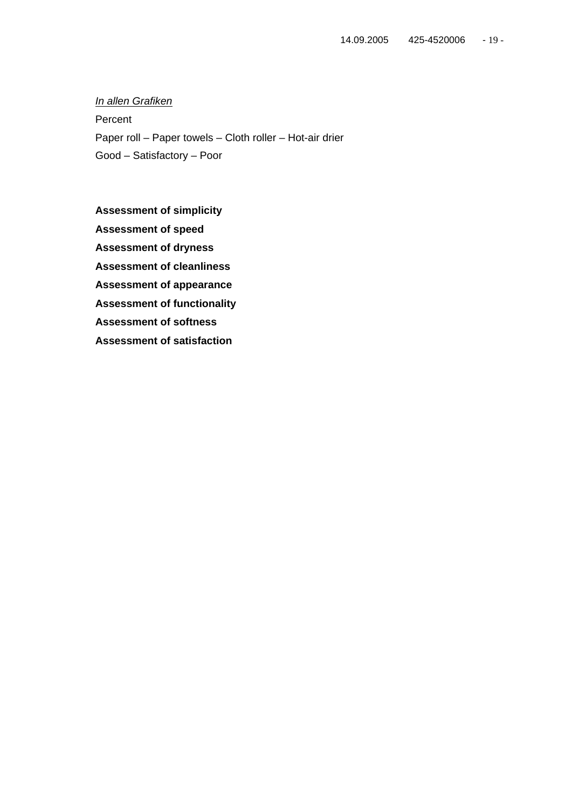*In allen Grafiken* Percent Paper roll – Paper towels – Cloth roller – Hot-air drier Good – Satisfactory – Poor

**Assessment of simplicity Assessment of speed Assessment of dryness Assessment of cleanliness Assessment of appearance Assessment of functionality Assessment of softness Assessment of satisfaction**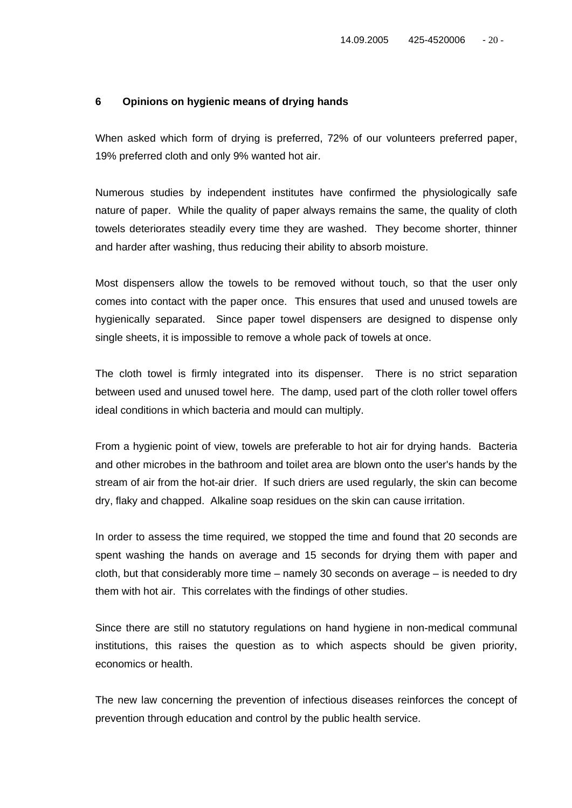#### **6 Opinions on hygienic means of drying hands**

When asked which form of drying is preferred, 72% of our volunteers preferred paper, 19% preferred cloth and only 9% wanted hot air.

Numerous studies by independent institutes have confirmed the physiologically safe nature of paper. While the quality of paper always remains the same, the quality of cloth towels deteriorates steadily every time they are washed. They become shorter, thinner and harder after washing, thus reducing their ability to absorb moisture.

Most dispensers allow the towels to be removed without touch, so that the user only comes into contact with the paper once. This ensures that used and unused towels are hygienically separated. Since paper towel dispensers are designed to dispense only single sheets, it is impossible to remove a whole pack of towels at once.

The cloth towel is firmly integrated into its dispenser. There is no strict separation between used and unused towel here. The damp, used part of the cloth roller towel offers ideal conditions in which bacteria and mould can multiply.

From a hygienic point of view, towels are preferable to hot air for drying hands. Bacteria and other microbes in the bathroom and toilet area are blown onto the user's hands by the stream of air from the hot-air drier. If such driers are used regularly, the skin can become dry, flaky and chapped. Alkaline soap residues on the skin can cause irritation.

In order to assess the time required, we stopped the time and found that 20 seconds are spent washing the hands on average and 15 seconds for drying them with paper and cloth, but that considerably more time – namely 30 seconds on average – is needed to dry them with hot air. This correlates with the findings of other studies.

Since there are still no statutory regulations on hand hygiene in non-medical communal institutions, this raises the question as to which aspects should be given priority, economics or health.

The new law concerning the prevention of infectious diseases reinforces the concept of prevention through education and control by the public health service.